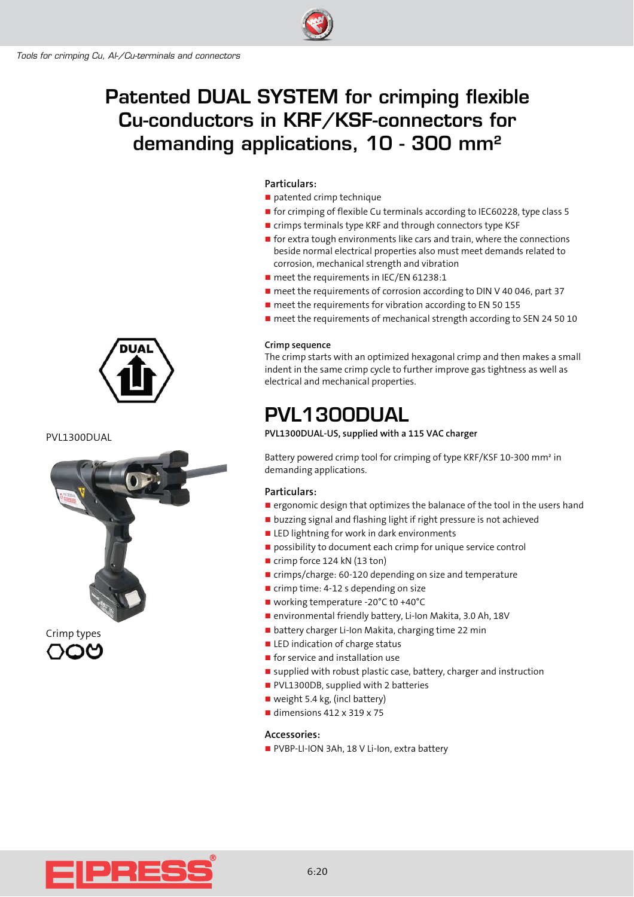# **Patented DUAL SYSTEM for crimping flexible Cu-conductors in KRF/KSF-connectors for demanding applications, 10 - 300 mm²**

#### **Particulars:**

- patented crimp technique
- **The for crimping of flexible Cu terminals according to IEC60228, type class 5**
- **E** crimps terminals type KRF and through connectors type KSF
- **T** for extra tough environments like cars and train, where the connections beside normal electrical properties also must meet demands related to corrosion, mechanical strength and vibration
- **n** meet the requirements in IEC/EN 61238:1
- meet the requirements of corrosion according to DIN V 40 046, part 37
- **n** meet the requirements for vibration according to EN 50 155
- **n** meet the requirements of mechanical strength according to SEN 24 50 10

#### **Crimp sequence**

The crimp starts with an optimized hexagonal crimp and then makes a small indent in the same crimp cycle to further improve gas tightness as well as electrical and mechanical properties.

### **PVL1300DUAL**

**PVL1300DUAL-US, supplied with a 115 VAC charger**

Battery powered crimp tool for crimping of type KRF/KSF 10-300 mm² in demanding applications.

#### **Particulars:**

- **E** ergonomic design that optimizes the balanace of the tool in the users hand
- **u** buzzing signal and flashing light if right pressure is not achieved
- **ELED lightning for work in dark environments**
- possibility to document each crimp for unique service control
- crimp force 124 kN (13 ton)
- crimps/charge: 60-120 depending on size and temperature
- crimp time: 4-12 s depending on size
- working temperature -20°C t0 +40°C
- environmental friendly battery, Li-Ion Makita, 3.0 Ah, 18V
- battery charger Li-Ion Makita, charging time 22 min
- **EXEC** indication of charge status
- **n** for service and installation use
- supplied with robust plastic case, battery, charger and instruction
- **PVL1300DB, supplied with 2 batteries**
- weight 5.4 kg, (incl battery)
- $\blacksquare$  dimensions 412 x 319 x 75

#### **Accessories:**

■ PVBP-LI-ION 3Ah, 18 V Li-Ion, extra battery



PVL1300DUAL





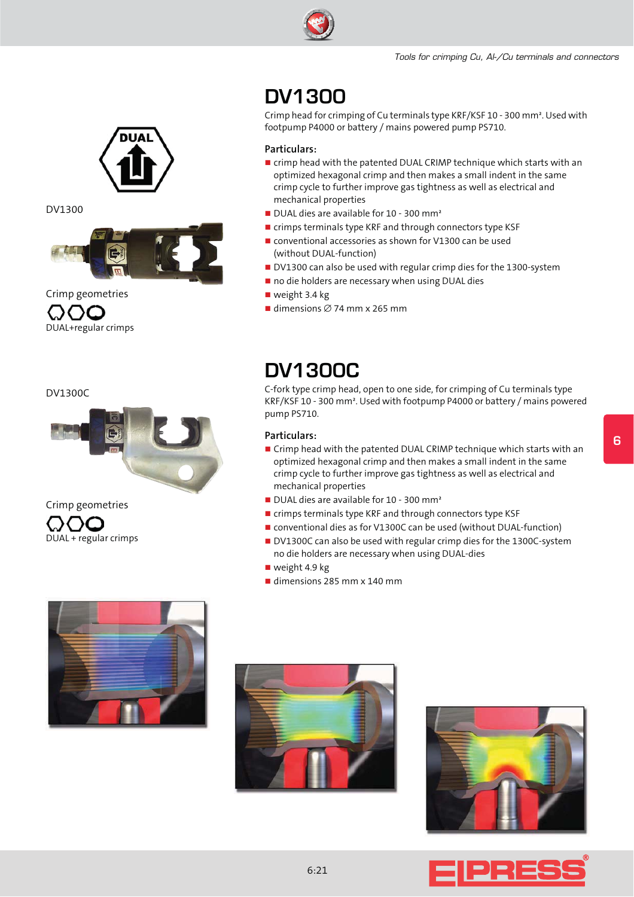

#### DV1300



Crimp geometries OOO DUAL+regular crimps

DV1300C



Crimp geometries DUAL + regular crimps



Crimp head for crimping of Cu terminals type KRF/KSF 10 - 300 mm². Used with footpump P4000 or battery / mains powered pump PS710.

#### **Particulars:**

- crimp head with the patented DUAL CRIMP technique which starts with an optimized hexagonal crimp and then makes a small indent in the same crimp cycle to further improve gas tightness as well as electrical and mechanical properties
- DUAL dies are available for 10 300 mm<sup>2</sup>
- **Example 1** crimps terminals type KRF and through connectors type KSF
- **E** conventional accessories as shown for V1300 can be used (without DUAL-function)
- DV1300 can also be used with regular crimp dies for the 1300-system
- no die holders are necessary when using DUAL dies
- weight 3.4 kg
- $\blacksquare$  dimensions  $\varnothing$  74 mm x 265 mm

## **DV1300C**

C-fork type crimp head, open to one side, for crimping of Cu terminals type KRF/KSF 10 - 300 mm². Used with footpump P4000 or battery / mains powered pump PS710.

#### **Particulars:**

- Crimp head with the patented DUAL CRIMP technique which starts with an optimized hexagonal crimp and then makes a small indent in the same crimp cycle to further improve gas tightness as well as electrical and mechanical properties
- DUAL dies are available for 10 300 mm<sup>2</sup>
- **Example 1** crimps terminals type KRF and through connectors type KSF
- **n** conventional dies as for V1300C can be used (without DUAL-function)
- DV1300C can also be used with regular crimp dies for the 1300C-system no die holders are necessary when using DUAL-dies
- weight 4.9 kg
- dimensions 285 mm x 140 mm



![](_page_1_Picture_31.jpeg)

![](_page_1_Picture_32.jpeg)

![](_page_1_Picture_33.jpeg)